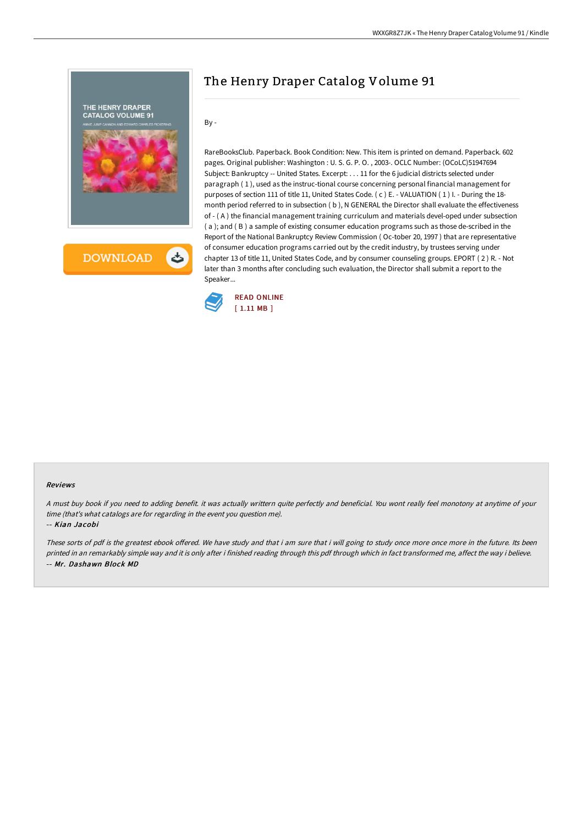

# The Henry Draper Catalog Volume 91

By -

RareBooksClub. Paperback. Book Condition: New. This item is printed on demand. Paperback. 602 pages. Original publisher: Washington : U. S. G. P. O. , 2003-. OCLC Number: (OCoLC)51947694 Subject: Bankruptcy -- United States. Excerpt: . . . 11 for the 6 judicial districts selected under paragraph ( 1 ), used as the instruc-tional course concerning personal financial management for purposes of section 111 of title 11, United States Code. (c) E. - VALUATION (1) I. - During the 18month period referred to in subsection ( b ), N GENERAL the Director shall evaluate the effectiveness of - ( A ) the financial management training curriculum and materials devel-oped under subsection ( a ); and ( B ) a sample of existing consumer education programs such as those de-scribed in the Report of the National Bankruptcy Review Commission ( Oc-tober 20, 1997 ) that are representative of consumer education programs carried out by the credit industry, by trustees serving under chapter 13 of title 11, United States Code, and by consumer counseling groups. EPORT ( 2 ) R. - Not later than 3 months after concluding such evaluation, the Director shall submit a report to the Speaker...



#### Reviews

<sup>A</sup> must buy book if you need to adding benefit. it was actually writtern quite perfectly and beneficial. You wont really feel monotony at anytime of your time (that's what catalogs are for regarding in the event you question me).

-- Kian Jacobi

These sorts of pdf is the greatest ebook offered. We have study and that i am sure that i will going to study once more once more in the future. Its been printed in an remarkably simple way and it is only after i finished reading through this pdf through which in fact transformed me, affect the way i believe. -- Mr. Dashawn Block MD